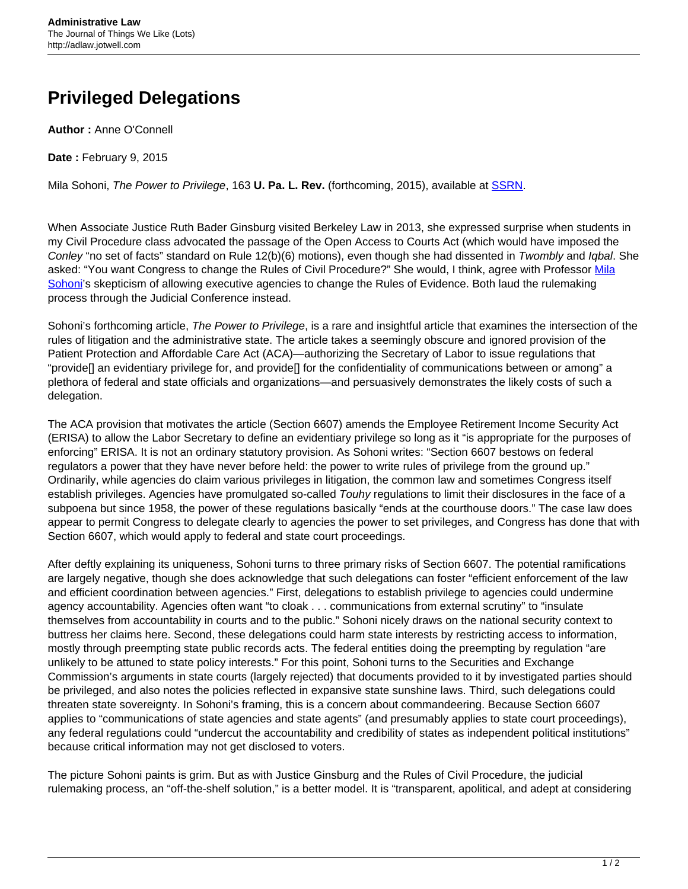## **Privileged Delegations**

**Author :** Anne O'Connell

**Date :** February 9, 2015

Mila Sohoni, The Power to Privilege, 163 **U. Pa. L. Rev.** (forthcoming, 2015), available at [SSRN](http://papers.ssrn.com/sol3/papers.cfm?abstract_id=2507380).

When Associate Justice Ruth Bader Ginsburg visited Berkeley Law in 2013, she expressed surprise when students in my Civil Procedure class advocated the passage of the Open Access to Courts Act (which would have imposed the Conley "no set of facts" standard on Rule 12(b)(6) motions), even though she had dissented in Twombly and Iqbal. She asked: "You want Congress to change the Rules of Civil Procedure?" She would, I think, agree with Professor [Mila](http://www.sandiego.edu/law/faculty/profiles/bio.php?ID=1028) [Sohoni'](http://www.sandiego.edu/law/faculty/profiles/bio.php?ID=1028)s skepticism of allowing executive agencies to change the Rules of Evidence. Both laud the rulemaking process through the Judicial Conference instead.

Sohoni's forthcoming article, The Power to Privilege, is a rare and insightful article that examines the intersection of the rules of litigation and the administrative state. The article takes a seemingly obscure and ignored provision of the Patient Protection and Affordable Care Act (ACA)—authorizing the Secretary of Labor to issue regulations that "provide[] an evidentiary privilege for, and provide[] for the confidentiality of communications between or among" a plethora of federal and state officials and organizations—and persuasively demonstrates the likely costs of such a delegation.

The ACA provision that motivates the article (Section 6607) amends the Employee Retirement Income Security Act (ERISA) to allow the Labor Secretary to define an evidentiary privilege so long as it "is appropriate for the purposes of enforcing" ERISA. It is not an ordinary statutory provision. As Sohoni writes: "Section 6607 bestows on federal regulators a power that they have never before held: the power to write rules of privilege from the ground up." Ordinarily, while agencies do claim various privileges in litigation, the common law and sometimes Congress itself establish privileges. Agencies have promulgated so-called Touhy regulations to limit their disclosures in the face of a subpoena but since 1958, the power of these regulations basically "ends at the courthouse doors." The case law does appear to permit Congress to delegate clearly to agencies the power to set privileges, and Congress has done that with Section 6607, which would apply to federal and state court proceedings.

After deftly explaining its uniqueness, Sohoni turns to three primary risks of Section 6607. The potential ramifications are largely negative, though she does acknowledge that such delegations can foster "efficient enforcement of the law and efficient coordination between agencies." First, delegations to establish privilege to agencies could undermine agency accountability. Agencies often want "to cloak . . . communications from external scrutiny" to "insulate themselves from accountability in courts and to the public." Sohoni nicely draws on the national security context to buttress her claims here. Second, these delegations could harm state interests by restricting access to information, mostly through preempting state public records acts. The federal entities doing the preempting by regulation "are unlikely to be attuned to state policy interests." For this point, Sohoni turns to the Securities and Exchange Commission's arguments in state courts (largely rejected) that documents provided to it by investigated parties should be privileged, and also notes the policies reflected in expansive state sunshine laws. Third, such delegations could threaten state sovereignty. In Sohoni's framing, this is a concern about commandeering. Because Section 6607 applies to "communications of state agencies and state agents" (and presumably applies to state court proceedings), any federal regulations could "undercut the accountability and credibility of states as independent political institutions" because critical information may not get disclosed to voters.

The picture Sohoni paints is grim. But as with Justice Ginsburg and the Rules of Civil Procedure, the judicial rulemaking process, an "off-the-shelf solution," is a better model. It is "transparent, apolitical, and adept at considering